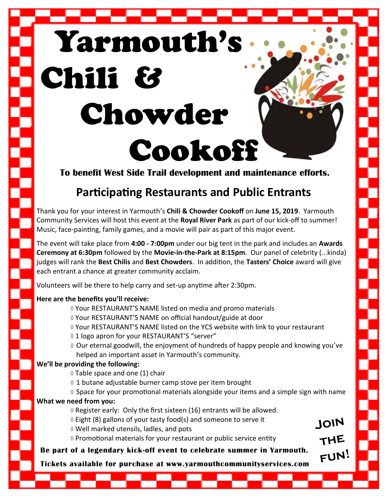# Yarmouth's Chili & Chowder Cookoff

**To benefit West Side Trail development and maintenance efforts.**

## **Participating Restaurants and Public Entrants**

Thank you for your interest in Yarmouth's **Chili & Chowder Cookoff** on **June 15, 2019**. Yarmouth Community Services will host this event at the **Royal River Park** as part of our kick-off to summer! Music, face-painting, family games, and a movie will pair as part of this major event.

The event will take place from **4:00 - 7:00pm** under our big tent in the park and includes an **Awards Ceremony at 6:30pm** followed by the **Movie-in-the-Park at 8:15pm**. Our panel of celebrity (...kinda) judges will rank the **Best Chilis** and **Best Chowders**. In addition, the **Tasters' Choice** award will give each entrant a chance at greater community acclaim.

Volunteers will be there to help carry and set-up anytime after 2:30pm.

#### **Here are the benefits you'll receive:**

Ŝ

- Your RESTAURANT'S NAME listed on media and promo materials
- Your RESTAURANT'S NAME on official handout/guide at door
- Your RESTAURANT'S NAME listed on the YCS website with link to your restaurant
- $\Diamond$  1 logo apron for your RESTAURANT'S "server"
- $\Diamond$  Our eternal goodwill, the enjoyment of hundreds of happy people and knowing you've helped an important asset in Yarmouth's community.

#### **We'll be providing the following:**

- $\Diamond$  Table space and one (1) chair
- $\Diamond$  1 butane adjustable burner camp stove per item brought
- $\Diamond$  Space for your promotional materials alongside your items and a simple sign with name

#### **What we need from you:**

- $\Diamond$  Register early: Only the first sixteen (16) entrants will be allowed.
- $\Diamond$  Eight (8) gallons of your tasty food(s) and someone to serve it
- Well marked utensils, ladles, and pots
- $\diamond$  Promotional materials for your restaurant or public service entity

### **Be part of a legendary kick-off event to celebrate summer in Yarmouth.**

**Tickets available for purchase at www.yarmouthcommunityservices.com**

JOIN

THE